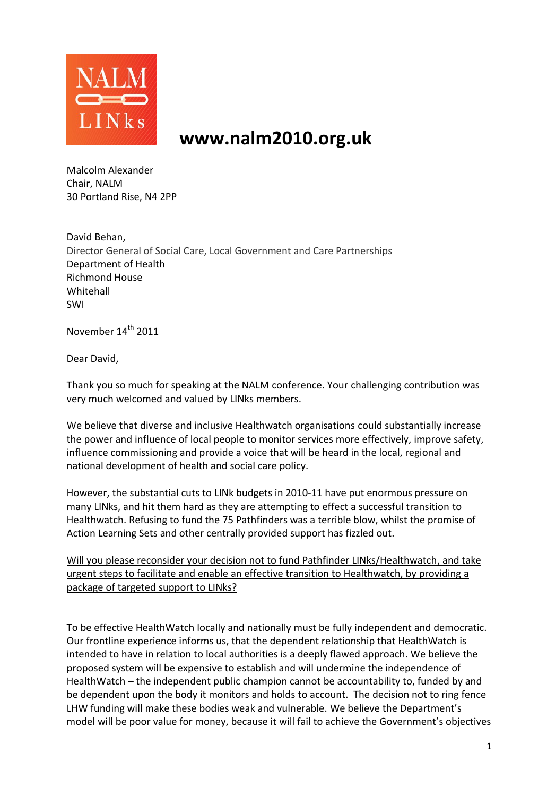

# **www.nalm2010.org.uk**

Malcolm Alexander Chair, NALM 30 Portland Rise, N4 2PP

David Behan, Director General of Social Care, Local Government and Care Partnerships Department of Health Richmond House Whitehall SWI

November 14<sup>th</sup> 2011

Dear David,

Thank you so much for speaking at the NALM conference. Your challenging contribution was very much welcomed and valued by LINks members.

We believe that diverse and inclusive Healthwatch organisations could substantially increase the power and influence of local people to monitor services more effectively, improve safety, influence commissioning and provide a voice that will be heard in the local, regional and national development of health and social care policy.

However, the substantial cuts to LINk budgets in 2010-11 have put enormous pressure on many LINks, and hit them hard as they are attempting to effect a successful transition to Healthwatch. Refusing to fund the 75 Pathfinders was a terrible blow, whilst the promise of Action Learning Sets and other centrally provided support has fizzled out.

Will you please reconsider your decision not to fund Pathfinder LINks/Healthwatch, and take urgent steps to facilitate and enable an effective transition to Healthwatch, by providing a package of targeted support to LINks?

To be effective HealthWatch locally and nationally must be fully independent and democratic. Our frontline experience informs us, that the dependent relationship that HealthWatch is intended to have in relation to local authorities is a deeply flawed approach. We believe the proposed system will be expensive to establish and will undermine the independence of HealthWatch – the independent public champion cannot be accountability to, funded by and be dependent upon the body it monitors and holds to account. The decision not to ring fence LHW funding will make these bodies weak and vulnerable. We believe the Department's model will be poor value for money, because it will fail to achieve the Government's objectives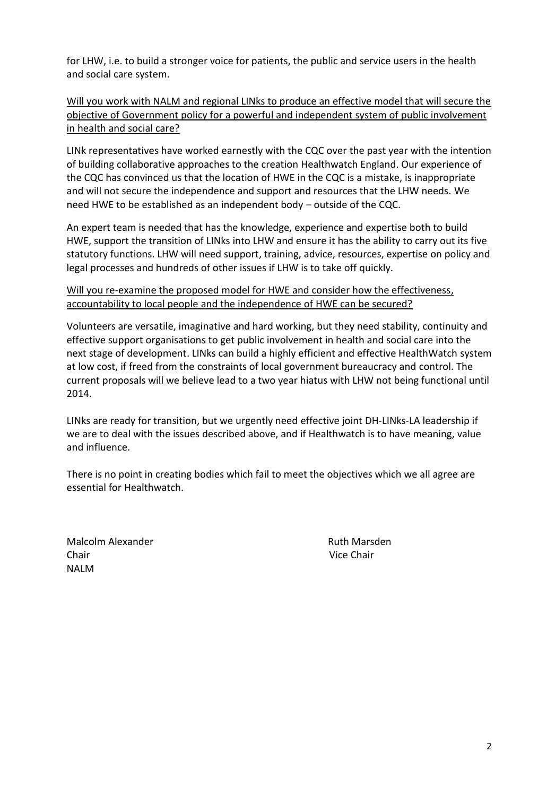for LHW, i.e. to build a stronger voice for patients, the public and service users in the health and social care system.

Will you work with NALM and regional LINks to produce an effective model that will secure the objective of Government policy for a powerful and independent system of public involvement in health and social care?

LINk representatives have worked earnestly with the CQC over the past year with the intention of building collaborative approaches to the creation Healthwatch England. Our experience of the CQC has convinced us that the location of HWE in the CQC is a mistake, is inappropriate and will not secure the independence and support and resources that the LHW needs. We need HWE to be established as an independent body – outside of the CQC.

An expert team is needed that has the knowledge, experience and expertise both to build HWE, support the transition of LINks into LHW and ensure it has the ability to carry out its five statutory functions. LHW will need support, training, advice, resources, expertise on policy and legal processes and hundreds of other issues if LHW is to take off quickly.

#### Will you re-examine the proposed model for HWE and consider how the effectiveness, accountability to local people and the independence of HWE can be secured?

Volunteers are versatile, imaginative and hard working, but they need stability, continuity and effective support organisations to get public involvement in health and social care into the next stage of development. LINks can build a highly efficient and effective HealthWatch system at low cost, if freed from the constraints of local government bureaucracy and control. The current proposals will we believe lead to a two year hiatus with LHW not being functional until 2014.

LINks are ready for transition, but we urgently need effective joint DH-LINks-LA leadership if we are to deal with the issues described above, and if Healthwatch is to have meaning, value and influence.

There is no point in creating bodies which fail to meet the objectives which we all agree are essential for Healthwatch.

Malcolm Alexander **Ruth Marsden** Ruth Marsden Chair Vice Chair NALM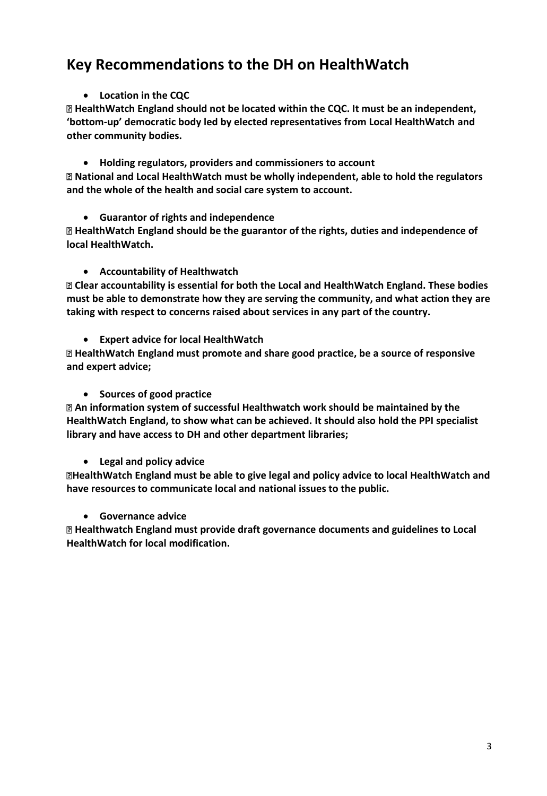# **Key Recommendations to the DH on HealthWatch**

#### **Location in the CQC**

**HealthWatch England should not be located within the CQC. It must be an independent, 'bottom-up' democratic body led by elected representatives from Local HealthWatch and other community bodies.** 

 **Holding regulators, providers and commissioners to account National and Local HealthWatch must be wholly independent, able to hold the regulators and the whole of the health and social care system to account.** 

**Guarantor of rights and independence** 

**HealthWatch England should be the guarantor of the rights, duties and independence of local HealthWatch.** 

**Accountability of Healthwatch** 

**Clear accountability is essential for both the Local and HealthWatch England. These bodies must be able to demonstrate how they are serving the community, and what action they are taking with respect to concerns raised about services in any part of the country.** 

**Expert advice for local HealthWatch** 

**HealthWatch England must promote and share good practice, be a source of responsive and expert advice;** 

**Sources of good practice** 

**An information system of successful Healthwatch work should be maintained by the HealthWatch England, to show what can be achieved. It should also hold the PPI specialist library and have access to DH and other department libraries;**

#### **Legal and policy advice**

**HealthWatch England must be able to give legal and policy advice to local HealthWatch and have resources to communicate local and national issues to the public.** 

#### **Governance advice**

**Healthwatch England must provide draft governance documents and guidelines to Local HealthWatch for local modification.**